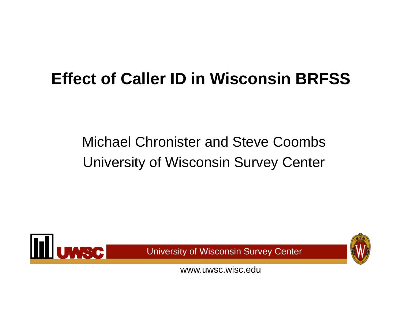# **Effect of Caller ID in Wisconsin BRFSS**

### Michael Chronister and Steve Coombs University of Wisconsin Survey Center



University of Wisconsin Survey Center

www.uwsc.wisc.edu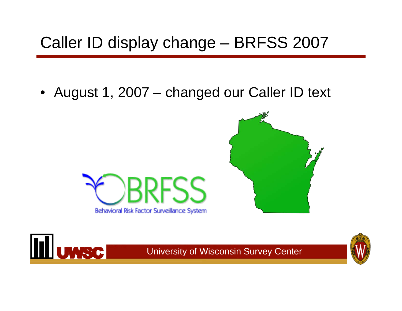# Caller ID display change – BRFSS 2007

• August 1, 2007 – changed our Caller ID text





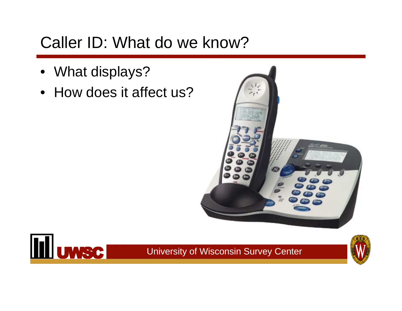### Caller ID: What do we know?

- What displays?
- How does it affect us?





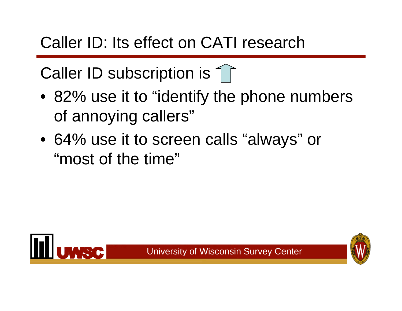# Caller ID: Its effect on CATI research

Caller ID subscription is 1

- 82% use it to "identify the phone numbers of annoying callers"
- 64% use it to screen calls "always" or "most of the time"

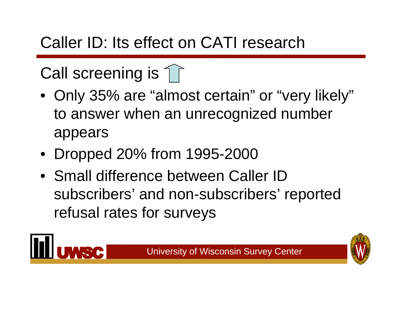# Caller ID: Its effect on CATI research

# Call screening is  $\uparrow$

- Only 35% are "almost certain" or "very likely" to answer when an unrecognized number appears
- Dropped 20% from 1995-2000
- Small difference between Caller ID subscribers' and non-subscribers' reported refusal rates for surveys

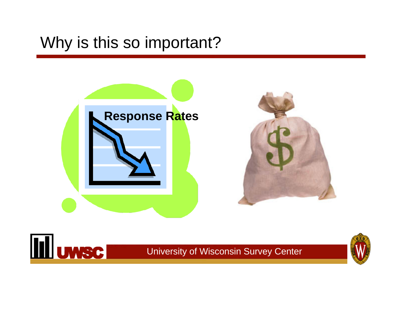#### Why is this so important?



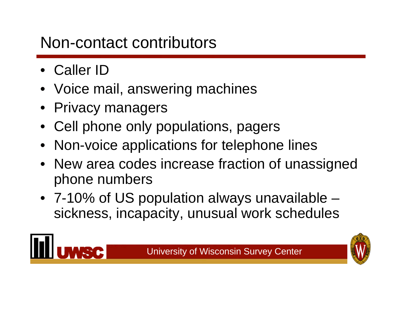### Non-contact contributors

- Caller ID
- Voice mail, answering machines
- Privacy managers
- Cell phone only populations, pagers
- Non-voice applications for telephone lines
- New area codes increase fraction of unassigned phone numbers
- 7-10% of US population always unavailable sickness, incapacity, unusual work schedules



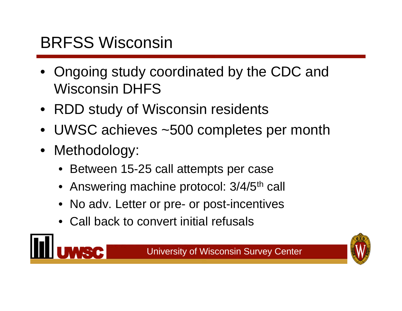# BRFSS Wisconsin

- Ongoing study coordinated by the CDC and Wisconsin DHFS
- RDD study of Wisconsin residents
- UWSC achieves ~500 completes per month
- Methodology:
	- Between 15-25 call attempts per case
	- Answering machine protocol: 3/4/5<sup>th</sup> call
	- No adv. Letter or pre- or post-incentives
	- Call back to convert initial refusals

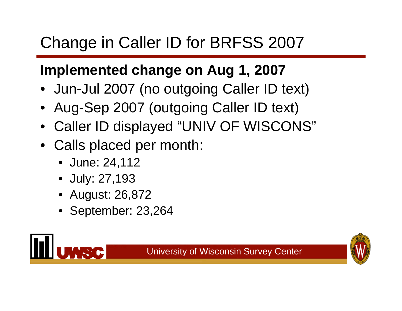# Change in Caller ID for BRFSS 2007

#### **Implemented change on Aug 1, 2007**

- Jun-Jul 2007 (no outgoing Caller ID text)
- Aug-Sep 2007 (outgoing Caller ID text)
- Caller ID displayed "UNIV OF WISCONS"
- Calls placed per month:
	- June: 24,112
	- July: 27,193
	- •August: 26,872
	- September: 23,264



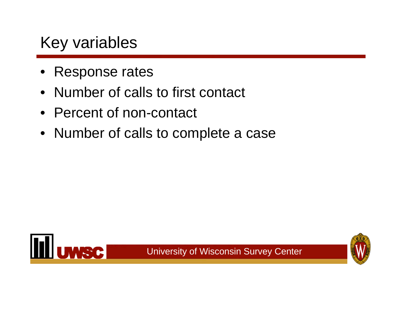### Key variables

- Response rates
- Number of calls to first contact
- Percent of non-contact
- Number of calls to complete a case



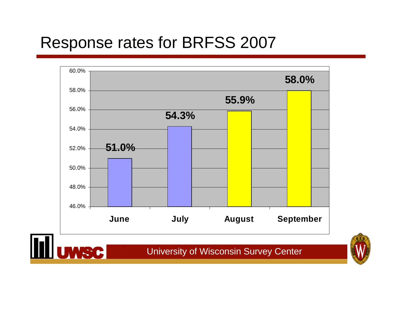#### Response rates for BRFSS 2007



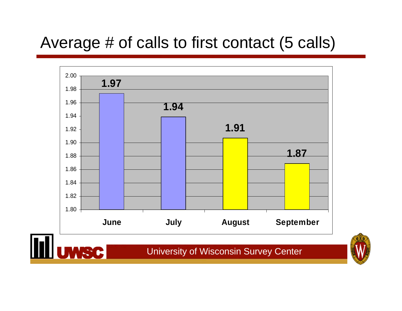### Average # of calls to first contact (5 calls)



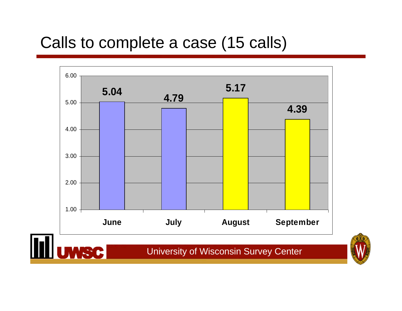#### Calls to complete a case (15 calls)



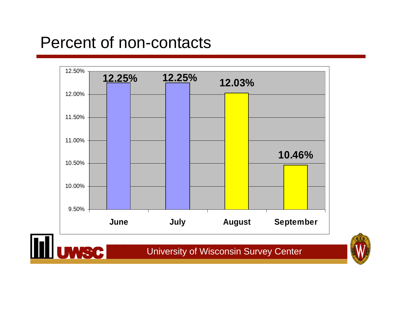#### Percent of non-contacts



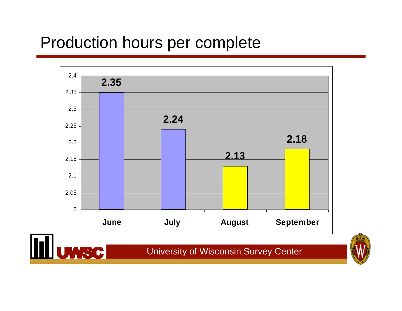#### Production hours per complete



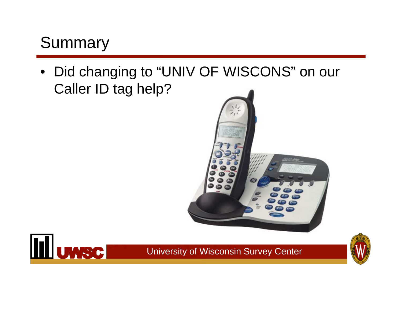### Summary

• Did changing to "UNIV OF WISCONS" on our Caller ID tag help?